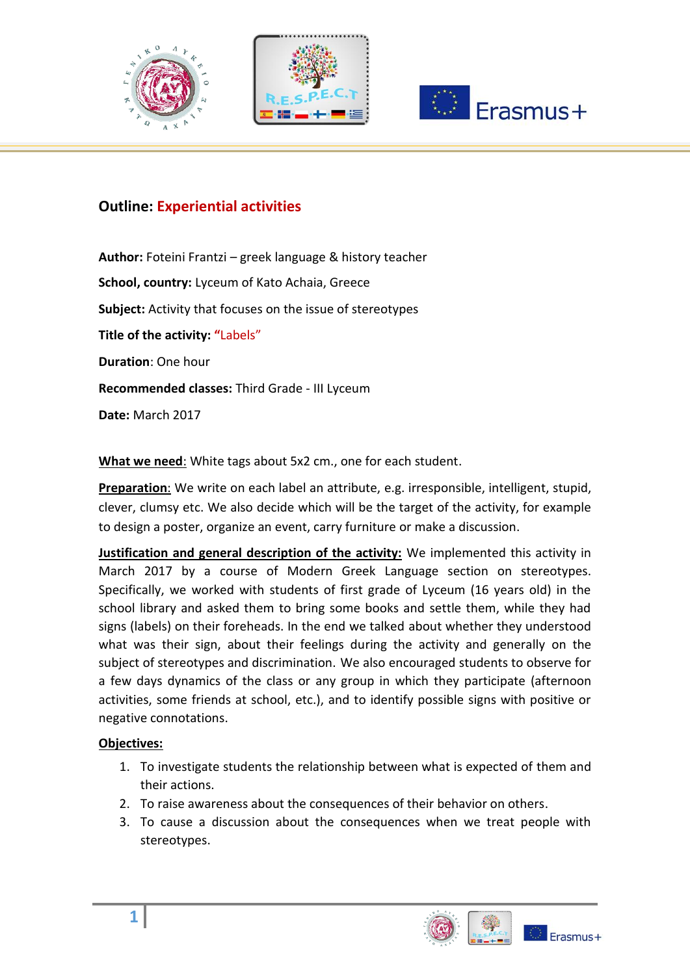





# **Outline: Εxperiential activities**

**Author:** Foteini Frantzi – greek language & history teacher **School, country:** Lyceum of Kato Achaia, Greece **Subject:** Activity that focuses on the issue of stereotypes **Title of the activity: "**Labels" **Duration**: One hour **Recommended classes:** Third Grade - III Lyceum **Date:** March 2017

**What we need**: White tags about 5x2 cm., one for each student.

**Preparation**: We write on each label an attribute, e.g. irresponsible, intelligent, stupid, clever, clumsy etc. We also decide which will be the target of the activity, for example to design a poster, organize an event, carry furniture or make a discussion.

**Justification and general description of the activity:** We implemented this activity in March 2017 by a course of Modern Greek Language section on stereotypes. Specifically, we worked with students of first grade of Lyceum (16 years old) in the school library and asked them to bring some books and settle them, while they had signs (labels) on their foreheads. In the end we talked about whether they understood what was their sign, about their feelings during the activity and generally on the subject of stereotypes and discrimination. We also encouraged students to observe for a few days dynamics of the class or any group in which they participate (afternoon activities, some friends at school, etc.), and to identify possible signs with positive or negative connotations.

## **Objectives:**

- 1. To investigate students the relationship between what is expected of them and their actions.
- 2. To raise awareness about the consequences of their behavior on others.
- 3. To cause a discussion about the consequences when we treat people with stereotypes.